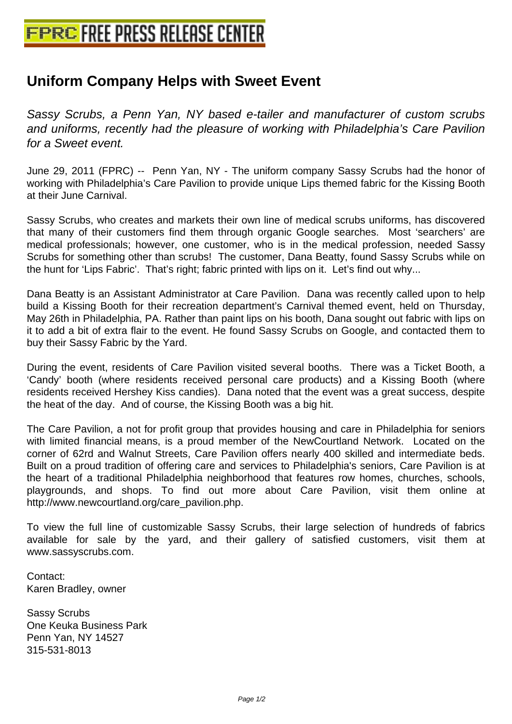## **[Uniform Company Helps with Swee](http://www.free-press-release-center.info)t Event**

Sassy Scrubs, a Penn Yan, NY based e-tailer and manufacturer of custom scrubs and uniforms, recently had the pleasure of working with Philadelphia's Care Pavilion for a Sweet event.

June 29, 2011 (FPRC) -- Penn Yan, NY - The uniform company Sassy Scrubs had the honor of working with Philadelphia's Care Pavilion to provide unique Lips themed fabric for the Kissing Booth at their June Carnival.

Sassy Scrubs, who creates and markets their own line of medical scrubs uniforms, has discovered that many of their customers find them through organic Google searches. Most 'searchers' are medical professionals; however, one customer, who is in the medical profession, needed Sassy Scrubs for something other than scrubs! The customer, Dana Beatty, found Sassy Scrubs while on the hunt for 'Lips Fabric'. That's right; fabric printed with lips on it. Let's find out why...

Dana Beatty is an Assistant Administrator at Care Pavilion. Dana was recently called upon to help build a Kissing Booth for their recreation department's Carnival themed event, held on Thursday, May 26th in Philadelphia, PA. Rather than paint lips on his booth, Dana sought out fabric with lips on it to add a bit of extra flair to the event. He found Sassy Scrubs on Google, and contacted them to buy their Sassy Fabric by the Yard.

During the event, residents of Care Pavilion visited several booths. There was a Ticket Booth, a 'Candy' booth (where residents received personal care products) and a Kissing Booth (where residents received Hershey Kiss candies). Dana noted that the event was a great success, despite the heat of the day. And of course, the Kissing Booth was a big hit.

The Care Pavilion, a not for profit group that provides housing and care in Philadelphia for seniors with limited financial means, is a proud member of the NewCourtland Network. Located on the corner of 62rd and Walnut Streets, Care Pavilion offers nearly 400 skilled and intermediate beds. Built on a proud tradition of offering care and services to Philadelphia's seniors, Care Pavilion is at the heart of a traditional Philadelphia neighborhood that features row homes, churches, schools, playgrounds, and shops. To find out more about Care Pavilion, visit them online at http://www.newcourtland.org/care\_pavilion.php.

To view the full line of customizable Sassy Scrubs, their large selection of hundreds of fabrics available for sale by the yard, and their gallery of satisfied customers, visit them at www.sassyscrubs.com.

Contact: Karen Bradley, owner

Sassy Scrubs One Keuka Business Park Penn Yan, NY 14527 315-531-8013